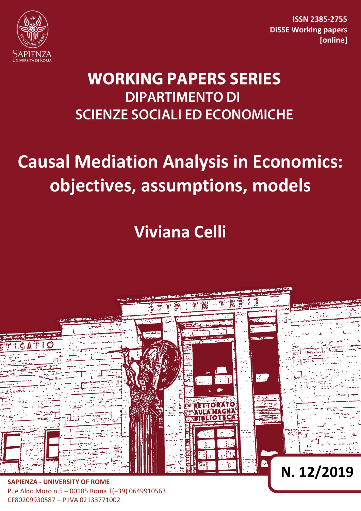

**ISSN 2385-2755 DiSSE Working papers [online]**

## **WORKING PAPERS SERIES DIPARTIMENTO DI SCIENZE SOCIALI ED ECONOMICHE**

# **Causal Mediation Analysis in Economics: objectives, assumptions, models**

**Viviana Celli**



P.le Aldo Moro n.5 – 00185 Roma T(+39) 0649910563 CF80209930587 – P.IVA 02133771002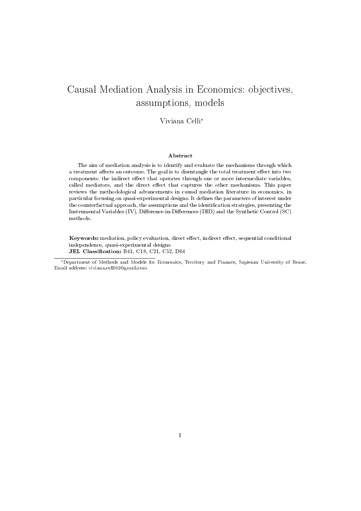### Causal Mediation Analysis in Economics: objectives, assumptions, models

Viviana Celli<sup>∗</sup>

#### Abstract

The aim of mediation analysis is to identify and evaluate the mechanisms through which a treatment affects an outcome. The goal is to disentangle the total treatment effect into two components: the indirect effect that operates through one or more intermediate variables, called mediators, and the direct effect that captures the other mechanisms. This paper reviews the methodological advancements in causal mediation literature in economics, in particular focusing on quasi-experimental designs. It defines the parameters of interest under the counterfactual approach, the assumptions and the identification strategies, presenting the Instrumental Variables (IV), Difference-in-Differences (DID) and the Synthetic Control (SC) methods.

Keywords: mediation, policy evaluation, direct effect, indirect effect, sequential conditional independence, quasi-experimental designs JEL Classification: B41, C18, C21, C52, D04

<sup>∗</sup>Department of Methods and Models for Economics, Territory and Finance, Sapienza University of Rome. Email address: viviana.celli92@gmail.com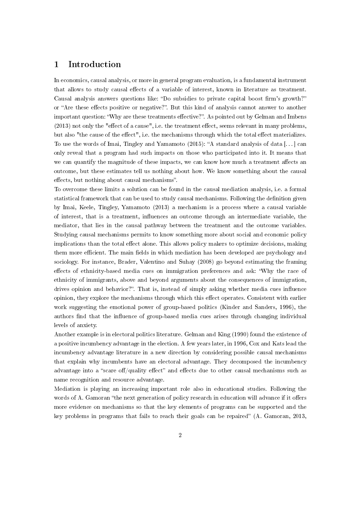#### 1 Introduction

In economics, causal analysis, or more in general program evaluation, is a fundamental instrument that allows to study causal effects of a variable of interest, known in literature as treatment. Causal analysis answers questions like: "Do subsidies to private capital boost firm's growth?" or "Are these effects positive or negative?". But this kind of analysis cannot answer to another important question: "Why are these treatments effective?". As pointed out by Gelman and Imbens  $(2013)$  not only the "effect of a cause", i.e. the treatment effect, seems relevant in many problems, but also "the cause of the effect", i.e. the mechanisms through which the total effect materializes. To use the words of Imai, Tingley and Yamamoto  $(2015)$ : "A standard analysis of data [...] can only reveal that a program had such impacts on those who participated into it. It means that we can quantify the magnitude of these impacts, we can know how much a treatment affects an outcome, but these estimates tell us nothing about how. We know something about the causal effects, but nothing about causal mechanisms".

To overcome these limits a solution can be found in the causal mediation analysis, i.e. a formal statistical framework that can be used to study causal mechanisms. Following the definition given by Imai, Keele, Tingley, Yamamoto (2013) a mechanism is a process where a causal variable of interest, that is a treatment, influences an outcome through an intermediate variable, the mediator, that lies in the causal pathway between the treatment and the outcome variables. Studying causal mechanisms permits to know something more about social and economic policy implications than the total effect alone. This allows policy makers to optimize decisions, making them more efficient. The main fields in which mediation has been developed are psychology and sociology. For instance, Brader, Valentino and Suhay (2008) go beyond estimating the framing effects of ethnicity-based media cues on immigration preferences and ask: "Why the race of ethnicity of immigrants, above and beyond arguments about the consequences of immigration, drives opinion and behavior?". That is, instead of simply asking whether media cues influence opinion, they explore the mechanisms through which this effect operates. Consistent with earlier work suggesting the emotional power of group-based politics (Kinder and Sanders, 1996), the authors find that the influence of group-based media cues arises through changing individual levels of anxiety.

Another example is in electoral politics literature. Gelman and King (1990) found the existence of a positive incumbency advantage in the election. A few years later, in 1996, Cox and Kats lead the incumbency advantage literature in a new direction by considering possible causal mechanisms that explain why incumbents have an electoral advantage. They decomposed the incumbency advantage into a "scare off/quality effect" and effects due to other causal mechanisms such as name recognition and resource advantage.

Mediation is playing an increasing important role also in educational studies. Following the words of A. Gamoran "the next generation of policy research in education will advance if it offers more evidence on mechanisms so that the key elements of programs can be supported and the key problems in programs that fails to reach their goals can be repaired" (A. Gamoran, 2013,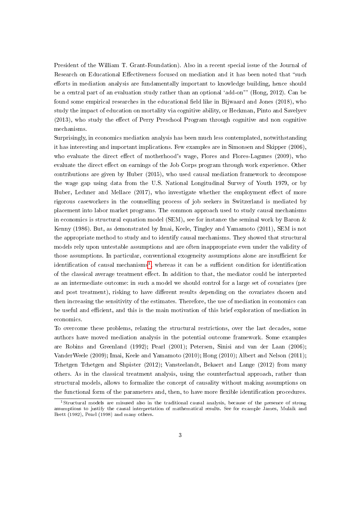President of the William T. Grant-Foundation). Also in a recent special issue of the Journal of Research on Educational Effectiveness focused on mediation and it has been noted that "such efforts in mediation analysis are fundamentally important to knowledge building, hence should be a central part of an evaluation study rather than an optional 'add-on'" (Hong, 2012). Can be found some empirical researches in the educational field like in Bijwaard and Jones (2018), who study the impact of education on mortality via cognitive ability, or Heckman, Pinto and Savelyev (2013), who study the effect of Perry Preschool Program through cognitive and non cognitive mechanisms.

Surprisingly, in economics mediation analysis has been much less contemplated, notwithstanding it has interesting and important implications. Few examples are in Simonsen and Skipper (2006), who evaluate the direct effect of motherhood's wage, Flores and Flores-Lagunes  $(2009)$ , who evaluate the direct effect on earnings of the Job Corps program through work experience. Other contributions are given by Huber (2015), who used causal mediation framework to decompose the wage gap using data from the U.S. National Longitudinal Survey of Youth 1979, or by Huber, Lechner and Mellace  $(2017)$ , who investigate whether the employment effect of more rigorous caseworkers in the counselling process of job seekers in Switzerland is mediated by placement into labor market programs. The common approach used to study causal mechanisms in economics is structural equation model (SEM), see for instance the seminal work by Baron  $\&$ Kenny (1986). But, as demonstrated by Imai, Keele, Tingley and Yamamoto (2011), SEM is not the appropriate method to study and to identify causal mechanisms. They showed that structural models rely upon untestable assumptions and are often inappropriate even under the validity of those assumptions. In particular, conventional exogeneity assumptions alone are insufficient for identification of causal mechanisms<sup>[1](#page-3-0)</sup>, whereas it can be a sufficient condition for identification of the classical average treatment effect. In addition to that, the mediator could be interpreted as an intermediate outcome: in such a model we should control for a large set of covariates (pre and post treatment), risking to have different results depending on the covariates chosen and then increasing the sensitivity of the estimates. Therefore, the use of mediation in economics can be useful and efficient, and this is the main motivation of this brief exploration of mediation in economics.

To overcome these problems, relaxing the structural restrictions, over the last decades, some authors have moved mediation analysis in the potential outcome framework. Some examples are Robins and Greenland (1992); Pearl (2001); Petersen, Sinisi and van der Laan (2006); VanderWeele (2009); Imai, Keele and Yamamoto (2010); Hong (2010); Albert and Nelson (2011); Tchetgen Tchetgen and Shpister (2012); Vansteelandt, Bekaert and Lange (2012) from many others. As in the classical treatment analysis, using the counterfactual approach, rather than structural models, allows to formalize the concept of causality without making assumptions on the functional form of the parameters and, then, to have more flexible identification procedures.

<span id="page-3-0"></span><sup>1</sup>Structural models are misused also in the traditional causal analysis, because of the presence of strong assumptions to justify the causal interpretation of mathematical results. See for example James, Mulaik and Brett (1982), Pearl (1998) and many others.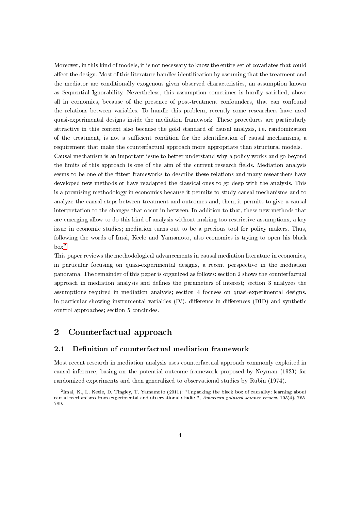Moreover, in this kind of models, it is not necessary to know the entire set of covariates that could affect the design. Most of this literature handles identification by assuming that the treatment and the mediator are conditionally exogenous given observed characteristics, an assumption known as Sequential Ignorability. Nevertheless, this assumption sometimes is hardly satisfied, above all in economics, because of the presence of post-treatment confounders, that can confound the relations between variables. To handle this problem, recently some researchers have used quasi-experimental designs inside the mediation framework. These procedures are particularly attractive in this context also because the gold standard of causal analysis, i.e. randomization of the treatment, is not a sufficient condition for the identification of causal mechanisms, a requirement that make the counterfactual approach more appropriate than structural models. Causal mechanism is an important issue to better understand why a policy works and go beyond the limits of this approach is one of the aim of the current research fields. Mediation analysis seems to be one of the ttest frameworks to describe these relations and many researchers have developed new methods or have readapted the classical ones to go deep with the analysis. This is a promising methodology in economics because it permits to study causal mechanisms and to analyze the causal steps between treatment and outcomes and, then, it permits to give a causal interpretation to the changes that occur in between. In addition to that, these new methods that are emerging allow to do this kind of analysis without making too restrictive assumptions, a key issue in economic studies; mediation turns out to be a precious tool for policy makers. Thus, following the words of Imai, Keele and Yamamoto, also economics is trying to open his black  $box<sup>2</sup>$  $box<sup>2</sup>$  $box<sup>2</sup>$ .

This paper reviews the methodological advancements in causal mediation literature in economics, in particular focusing on quasi-experimental designs, a recent perspective in the mediation panorama. The remainder of this paper is organized as follows: section 2 shows the counterfactual approach in mediation analysis and denes the parameters of interest; section 3 analyzes the assumptions required in mediation analysis; section 4 focuses on quasi-experimental designs, in particular showing instrumental variables  $(IV)$ , difference-in-differences  $(DID)$  and synthetic control approaches; section 5 concludes.

#### 2 Counterfactual approach

#### 2.1 Definition of counterfactual mediation framework

Most recent research in mediation analysis uses counterfactual approach commonly exploited in causal inference, basing on the potential outcome framework proposed by Neyman (1923) for randomized experiments and then generalized to observational studies by Rubin (1974).

<span id="page-4-0"></span><sup>&</sup>lt;sup>2</sup>Imai, K., L. Keele, D. Tingley, T. Yamamoto (2011): "Unpacking the black box of causality: learning about causal mechanisms from experimental and observational studies", American political science review, 105(4), 765- 789.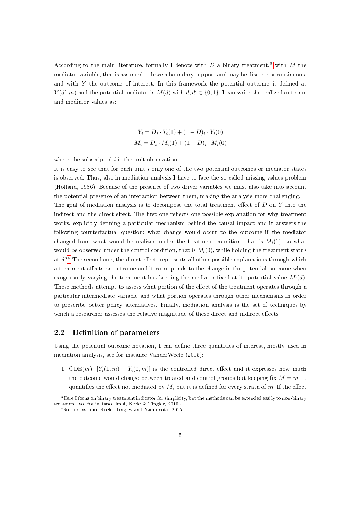According to the main literature, formally I denote with D a binary treatment,<sup>[3](#page-5-0)</sup> with M the mediator variable, that is assumed to have a boundary support and may be discrete or continuous, and with  $Y$  the outcome of interest. In this framework the potential outcome is defined as  $Y(d', m)$  and the potential mediator is  $M(d)$  with  $d, d' \in \{0, 1\}$ . I can write the realized outcome and mediator values as:

$$
Y_i = D_i \cdot Y_i(1) + (1 - D)_i \cdot Y_i(0)
$$
  

$$
M_i = D_i \cdot M_i(1) + (1 - D)_i \cdot M_i(0)
$$

where the subscripted *i* is the unit observation.

It is easy to see that for each unit  $i$  only one of the two potential outcomes or mediator states is observed. Thus, also in mediation analysis I have to face the so called missing values problem (Holland, 1986). Because of the presence of two driver variables we must also take into account the potential presence of an interaction between them, making the analysis more challenging.

The goal of mediation analysis is to decompose the total treatment effect of  $D$  on  $Y$  into the indirect and the direct effect. The first one reflects one possible explanation for why treatment works, explicitly defining a particular mechanism behind the causal impact and it answers the following counterfactual question: what change would occur to the outcome if the mediator changed from what would be realized under the treatment condition, that is  $M_i(1)$ , to what would be observed under the control condition, that is  $M_i(0)$ , while holding the treatment status at  $d$ ?<sup>[4](#page-5-1)</sup> The second one, the direct effect, represents all other possible explanations through which a treatment affects an outcome and it corresponds to the change in the potential outcome when exogenously varying the treatment but keeping the mediator fixed at its potential value  $M_i(d)$ . These methods attempt to assess what portion of the effect of the treatment operates through a particular intermediate variable and what portion operates through other mechanisms in order to prescribe better policy alternatives. Finally, mediation analysis is the set of techniques by which a researcher assesses the relative magnitude of these direct and indirect effects.

#### 2.2 Definition of parameters

Using the potential outcome notation, I can define three quantities of interest, mostly used in mediation analysis, see for instance VanderWeele (2015):

1. CDE $(m)$ : [Y<sub>i</sub> $(1, m) - Y_i(0, m)$ ] is the controlled direct effect and it expresses how much the outcome would change between treated and control groups but keeping fix  $M = m$ . It quantifies the effect not mediated by  $M$ , but it is defined for every strata of m. If the effect

<span id="page-5-0"></span><sup>&</sup>lt;sup>3</sup>Here I focus on binary treatment indicator for simplicity, but the methods can be extended easily to non-binary treatment, see for instance Imai, Keele & Tingley, 2010a.

<span id="page-5-1"></span><sup>4</sup>See for instance Keele, Tingley and Yamamoto, 2015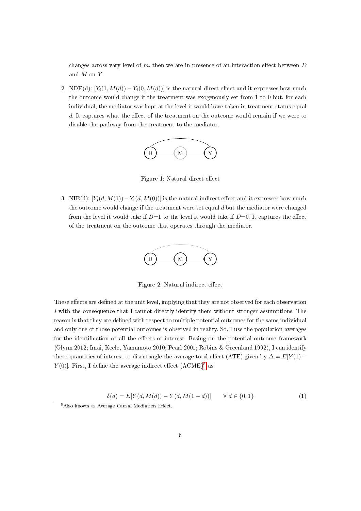changes across vary level of  $m$ , then we are in presence of an interaction effect between  $D$ and  $M$  on  $Y$ .

2. NDE(d):  $[Y_i(1, M(d)) - Y_i(0, M(d))]$  is the natural direct effect and it expresses how much the outcome would change if the treatment was exogenously set from 1 to 0 but, for each individual, the mediator was kept at the level it would have taken in treatment status equal  $d.$  It captures what the effect of the treatment on the outcome would remain if we were to disable the pathway from the treatment to the mediator.



Figure 1: Natural direct effect

3. NIE(d):  $[Y_i(d, M(1)) - Y_i(d, M(0))]$  is the natural indirect effect and it expresses how much the outcome would change if the treatment were set equal  $d$  but the mediator were changed from the level it would take if  $D=1$  to the level it would take if  $D=0$ . It captures the effect of the treatment on the outcome that operates through the mediator.



Figure 2: Natural indirect effect

These effects are defined at the unit level, implying that they are not observed for each observation  $i$  with the consequence that I cannot directly identify them without stronger assumptions. The reason is that they are defined with respect to multiple potential outcomes for the same individual and only one of those potential outcomes is observed in reality. So, I use the population averages for the identification of all the effects of interest. Basing on the potential outcome framework (Glynn 2012; Imai, Keele, Yamamoto 2010; Pearl 2001; Robins & Greenland 1992), I can identify these quantities of interest to disentangle the average total effect (ATE) given by  $\Delta = E[Y(1) Y(0)$ . First, I define the average indirect effect  $(A CME)^5$  $(A CME)^5$  as:

$$
\bar{\delta}(d) = E[Y(d, M(d)) - Y(d, M(1 - d))] \qquad \forall \ d \in \{0, 1\}
$$
 (1)

<span id="page-6-0"></span> $5$ Also known as Average Causal Mediation Effect.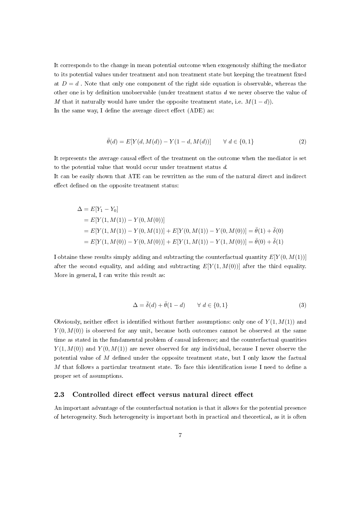It corresponds to the change in mean potential outcome when exogenously shifting the mediator to its potential values under treatment and non treatment state but keeping the treatment fixed at  $D = d$ . Note that only one component of the right side equation is observable, whereas the other one is by definition unobservable (under treatment status  $d$  we never observe the value of M that it naturally would have under the opposite treatment state, i.e.  $M(1-d)$ . In the same way, I define the average direct effect  $(ADE)$  as:

$$
\bar{\theta}(d) = E[Y(d, M(d)) - Y(1 - d, M(d))] \qquad \forall \ d \in \{0, 1\}
$$
 (2)

It represents the average causal effect of the treatment on the outcome when the mediator is set to the potential value that would occur under treatment status d.

It can be easily shown that ATE can be rewritten as the sum of the natural direct and indirect effect defined on the opposite treatment status:

$$
\Delta = E[Y_1 - Y_0]
$$
  
=  $E[Y(1, M(1)) - Y(0, M(0))]$   
=  $E[Y(1, M(1)) - Y(0, M(1))] + E[Y(0, M(1)) - Y(0, M(0))] = \bar{\theta}(1) + \bar{\delta}(0)$   
=  $E[Y(1, M(0)) - Y(0, M(0))] + E[Y(1, M(1)) - Y(1, M(0))] = \bar{\theta}(0) + \bar{\delta}(1)$ 

I obtaine these results simply adding and subtracting the counterfactual quantity  $E[Y(0, M(1))]$ after the second equality, and adding and subtracting  $E[Y(1, M(0))]$  after the third equality. More in general, I can write this result as:

$$
\Delta = \bar{\delta}(d) + \bar{\theta}(1 - d) \qquad \forall \ d \in \{0, 1\} \tag{3}
$$

Obviously, neither effect is identified without further assumptions: only one of  $Y(1, M(1))$  and  $Y(0, M(0))$  is observed for any unit, because both outcomes cannot be observed at the same time as stated in the fundamental problem of causal inference; and the counterfactual quantities  $Y(1, M(0))$  and  $Y(0, M(1))$  are never observed for any individual, because I never observe the potential value of  $M$  defined under the opposite treatment state, but I only know the factual  $M$  that follows a particular treatment state. To face this identification issue I need to define a proper set of assumptions.

#### 2.3 Controlled direct effect versus natural direct effect

An important advantage of the counterfactual notation is that it allows for the potential presence of heterogeneity. Such heterogeneity is important both in practical and theoretical, as it is often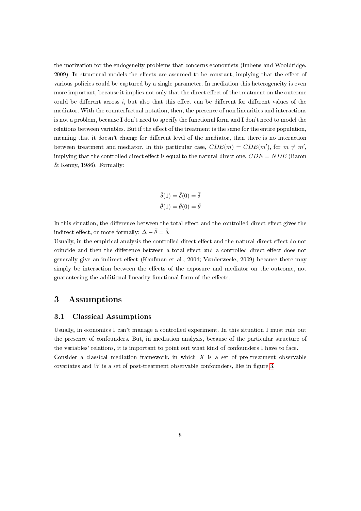the motivation for the endogeneity problems that concerns economists (Imbens and Wooldridge, 2009). In structural models the effects are assumed to be constant, implying that the effect of various policies could be captured by a single parameter. In mediation this heterogeneity is even more important, because it implies not only that the direct effect of the treatment on the outcome could be different across  $i$ , but also that this effect can be different for different values of the mediator. With the counterfactual notation, then, the presence of non linearities and interactions is not a problem, because I don't need to specify the functional form and I don't need to model the relations between variables. But if the effect of the treatment is the same for the entire population, meaning that it doesn't change for different level of the madiator, then there is no interaction between treatment and mediator. In this particular case,  $CDE(m) = CDE(m')$ , for  $m \neq m'$ , implying that the controlled direct effect is equal to the natural direct one,  $CDE = NDE$  (Baron & Kenny, 1986). Formally:

$$
\bar{\delta}(1) = \bar{\delta}(0) = \bar{\delta}
$$

$$
\bar{\theta}(1) = \bar{\theta}(0) = \bar{\theta}
$$

In this situation, the difference between the total effect and the controlled direct effect gives the indirect effect, or more formally:  $\Delta - \bar{\theta} = \bar{\delta}$ .

Usually, in the empirical analysis the controlled direct effect and the natural direct effect do not coincide and then the difference between a total effect and a controlled direct effect does not generally give an indirect effect (Kaufman et al., 2004; Vanderweele, 2009) because there may simply be interaction between the effects of the exposure and mediator on the outcome, not guaranteeing the additional linearity functional form of the effects.

#### 3 Assumptions

#### 3.1 Classical Assumptions

Usually, in economics I can't manage a controlled experiment. In this situation I must rule out the presence of confounders. But, in mediation analysis, because of the particular structure of the variables' relations, it is important to point out what kind of confounders I have to face. Consider a classical mediation framework, in which  $X$  is a set of pre-treatment observable covariates and  $W$  is a set of post-treatment observable confounders, like in figure [3.](#page-9-0)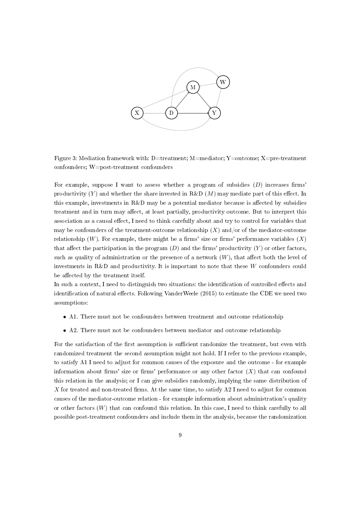

<span id="page-9-0"></span>Figure 3: Mediation framework with:  $D=$ treatment; M=mediator; Y=outcome; X=pre-treatment confounders; W=post-treatment confounders

For example, suppose I want to assess whether a program of subsidies  $(D)$  increases firms' productivity  $(Y)$  and whether the share invested in R&D  $(M)$  may mediate part of this effect. In this example, investments in R&D may be a potential mediator because is affected by subsidies treatment and in turn may affect, at least partially, productivity outcome. But to interpret this association as a causal effect, I need to think carefully about and try to control for variables that may be confounders of the treatment-outcome relationship  $(X)$  and/or of the mediator-outcome relationship  $(W)$ . For example, there might be a firms' size or firms' performance variables  $(X)$ that affect the participation in the program  $(D)$  and the firms' productivity  $(Y)$  or other factors, such as quality of administration or the presence of a network  $(W)$ , that affect both the level of investments in R&D and productivity. It is important to note that these W confounders could be affected by the treatment itself.

In such a context, I need to distinguish two situations: the identification of controlled effects and identification of natural effects. Following VanderWeele  $(2015)$  to estimate the CDE we need two assumptions:

- A1. There must not be confounders between treatment and outcome relationship
- A2. There must not be confounders between mediator and outcome relationship

For the satisfaction of the first assumption is sufficient randomize the treatment, but even with randomized treatment the second assumption might not hold. If I refer to the previous example, to satisfy A1 I need to adjust for common causes of the exposure and the outcome - for example information about firms' size or firms' performance or any other factor  $(X)$  that can confound this relation in the analysis; or I can give subsidies randomly, implying the same distribution of X for treated and non-treated firms. At the same time, to satisfy  $A2$  I need to adjust for common causes of the mediator-outcome relation - for example information about administration's quality or other factors  $(W)$  that can confound this relation. In this case, I need to think carefully to all possible post-treatment confounders and include them in the analysis, because the randomization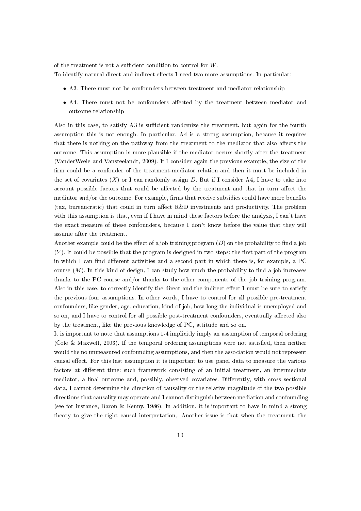of the treatment is not a sufficient condition to control for  $W$ .

To identify natural direct and indirect effects I need two more assumptions. In particular:

- A3. There must not be confounders between treatment and mediator relationship
- A4. There must not be confounders affected by the treatment between mediator and outcome relationship

Also in this case, to satisfy  $A3$  is sufficient randomize the treatment, but again for the fourth assumption this is not enough. In particular, A4 is a strong assumption, because it requires that there is nothing on the pathway from the treatment to the mediator that also affects the outcome. This assumption is more plausible if the mediator occurs shortly after the treatment (VanderWeele and Vansteelandt, 2009). If I consider again the previous example, the size of the firm could be a confouder of the treatment-mediator relation and then it must be included in the set of covariates  $(X)$  or I can randomly assign D. But if I consider A4, I have to take into account possible factors that could be affected by the treatment and that in turn affect the mediator and/or the outcome. For example, firms that receive subsidies could have more benefits (tax, bureaucratic) that could in turn affect  $R&D$  investments and productivity. The problem with this assumption is that, even if I have in mind these factors before the analysis, I can't have the exact measure of these confounders, because I don't know before the value that they will assume after the treatment.

Another example could be the effect of a job training program  $(D)$  on the probability to find a job  $(Y)$ . It could be possible that the program is designed in two steps: the first part of the program in which I can find different activities and a second part in which there is, for example, a PC course  $(M)$ . In this kind of design, I can study how much the probability to find a job increases thanks to the PC course and/or thanks to the other components of the job training program. Also in this case, to correctly identify the direct and the indirect effect I must be sure to satisfy the previous four assumptions. In other words, I have to control for all possible pre-treatment confounders, like gender, age, education, kind of job, how long the individual is unemployed and so on, and I have to control for all possible post-treatment confounders, eventually affected also by the treatment, like the previous knowledge of PC, attitude and so on.

It is important to note that assumptions 1-4 implicitly imply an assumption of temporal ordering (Cole  $\&$  Maxwell, 2003). If the temporal ordering assumptions were not satisfied, then neither would the no unmeasured confounding assumptions, and then the association would not represent causal effect. For this last assumption it is important to use panel data to measure the various factors at different time: such framework consisting of an initial treatment, an intermediate mediator, a final outcome and, possibly, observed covariates. Differently, with cross sectional data, I cannot determine the direction of causality or the relative magnitude of the two possible directions that causality may operate and I cannot distinguish between mediation and confounding (see for instance, Baron & Kenny, 1986). In addition, it is important to have in mind a strong theory to give the right causal interpretation,. Another issue is that when the treatment, the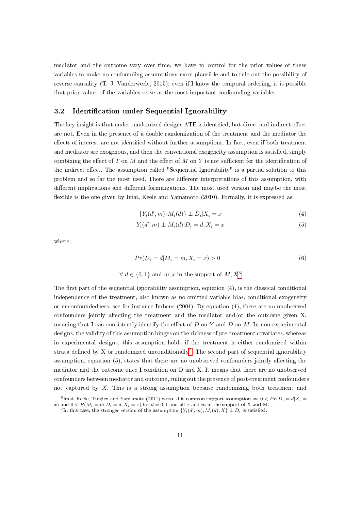mediator and the outcome vary over time, we have to control for the prior values of these variables to make no confounding assumptions more plausible and to rule out the possibility of reverse causality (T. J. Vanderweele, 2015): even if I know the temporal ordering, it is possible that prior values of the variables serve as the most important confounding variables.

#### 3.2 Identification under Sequential Ignorability

The key insight is that under randomized designs ATE is identified, but direct and indirect effect are not. Even in the presence of a double randomization of the treatment and the mediator the effects of interest are not identified without further assumptions. In fact, even if both treatment and mediator are exogenous, and then the conventional exogeneity assumption is satisfied, simply combining the effect of T on M and the effect of M on Y is not sufficient for the identification of the indirect effect. The assumption called "Sequential Ignorability" is a partial solution to this problem and so far the most used. There are different interpretations of this assumption, with different implications and different formalizations. The most used version and maybe the most flexible is the one given by Imai, Keele and Yamamoto (2010). Formally, it is expressed as:

$$
\{Y_i(d',m), M_i(d)\} \perp D_i | X_i = x \tag{4}
$$

$$
Y_i(d', m) \perp M_i(d) | D_i = d, X_i = x \tag{5}
$$

where:

$$
Pr(D_i = d | M_i = m, X_i = x) > 0
$$
\n(6)

$$
\forall d \in \{0, 1\} \text{ and } m, x \text{ in the support of } M, X^6
$$

The first part of the sequential ignorability assumption, equation  $(4)$ , is the classical conditional independence of the treatment, also known as no-omitted variable bias, conditional exogeneity or unconfoundedness, see for instance Imbens (2004). By equation (4), there are no unobserved confounders jointly affecting the treatment and the mediator and/or the outcome given  $X$ , meaning that I can consistently identify the effect of D on Y and D on M. In non-experimental designs, the validity of this assumption hinges on the richness of pre-treatment covariates, whereas in experimental designs, this assumption holds if the treatment is either randomized within strata defined by X or randomized unconditionally<sup>[7](#page-11-1)</sup>. The second part of sequential ignorability assumption, equation  $(5)$ , states that there are no unobserved confounders jointly affecting the mediator and the outcome once I condition on D and X. It means that there are no unobserved confounders between mediator and outcome, ruling out the presence of post-treatment confounders not captured by X. This is a strong assumption because randomizing both treatment and

<span id="page-11-0"></span> $^6$ Imai, Keele, Tingley and Yamamoto (2011) wrote this common support assumption as:  $0 < Pr(D_i = d|X_i = d)$ x) and  $0 < P(M_i = m | D_i = d, X_i = x)$  for  $d = 0, 1$  and all x and m in the support of X and M.

<span id="page-11-1"></span> $^7$ In this case, the stronger version of the assumption  $\{Y_i(d',m), M_i(d), X\} \perp D_i$  is satisfied.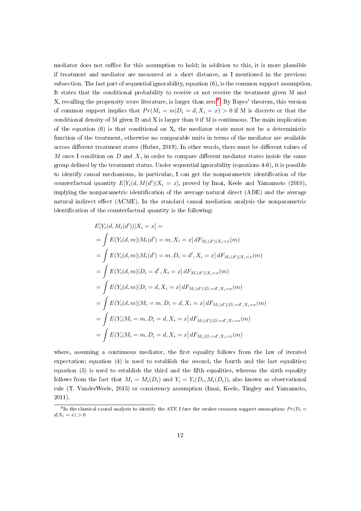mediator does not suffice for this assumption to hold; in addition to this, it is more plausible if treatment and mediator are measured at a short distance, as I mentioned in the previous subsection. The last part of sequential ignorability, equation (6), is the common support assumption. It states that the conditional probability to receive or not receive the treatment given M and X, recalling the propensity score literature, is larger than zero<sup>[8](#page-12-0)</sup>. By Bayes' theorem, this version of common support implies that  $Pr(M_i = m | D_i = d, X_i = x) > 0$  if M is discrete or that the conditional density of M given D and X is larger than 0 if M is continuous. The main implication of the equation (6) is that conditional on X, the mediator state must not be a deterministic function of the treatment, otherwise no comparable units in terms of the mediator are available across different treatment states (Huber, 2019). In other words, there must be different values of M once I condition on  $D$  and  $X$ , in order to compare different mediator states inside the same group dened by the treatment status. Under sequential ignorability (equations 4-6), it is possible to identify causal mechanisms, in particular, I can get the nonparametric identification of the counterfactual quantity  $E[Y_i(d, M(d') | X_i = x]$ , proved by Imai, Keele and Yamamoto (2010), implying the nonparametric identification of the average natural direct (ADE) and the average natural indirect effect (ACME). In the standard causal mediation analysis the nonparametric identification of the counterfactual quantity is the following:

$$
E[Y_i(d, M_i(d'))|X_i = x] =
$$
  
=  $\int E(Y_i(d, m)|M_i(d') = m, X_i = x] dF_{M_i(d')|X_i=x}(m)$   
=  $\int E(Y_i(d, m)|M_i(d') = m, D_i = d', X_i = x] dF_{M_i(d')|X_i=x}(m)$   
=  $\int E(Y_i(d, m)|D_i = d', X_i = x] dF_{M_i(d')|X_i=x}(m)$   
=  $\int E(Y_i(d, m)|D_i = d, X_i = x] dF_{M_i(d')|D_i=d', X_i=x}(m)$   
=  $\int E(Y_i(d, m)|M_i = m, D_i = d, X_i = x] dF_{M_i(d')|D_i=d', X_i=x}(m)$   
=  $\int E(Y_i|M_i = m, D_i = d, X_i = x] dF_{M_i(d')|D_i=d', X_i=x}(m)$   
=  $\int E(Y_i|M_i = m, D_i = d, X_i = x] dF_{M_i|D_i=d', X_i=x}(m)$ 

where, assuming a continuous mediator, the first equality follows from the law of iterated expectation; equation (4) is used to establish the second, the fourth and the last equalities; equation  $(5)$  is used to establish the third and the fifth equalities, whereas the sixth equality follows from the fact that  $M_i = M_i(D_i)$  and  $Y_i = Y_i(D_i, M_i(D_i))$ , also known as observational rule (T. VanderWeele, 2015) or consistency assumption (Imai, Keele, Tingley and Yamamoto, 2011).

<span id="page-12-0"></span> $^8\rm{In}$  the classical causal analysis to identify the ATE I face the weaker common support assumption:  $Pr(D_i=$  $d|X_i = x) > 0$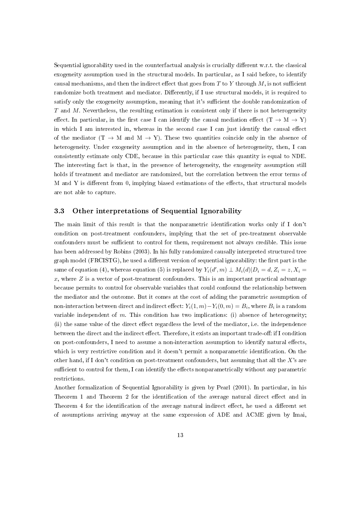Sequential ignorability used in the counterfactual analysis is crucially different  $w.r.t.$  the classical exogeneity assumption used in the structural models. In particular, as I said before, to identify causal mechanisms, and then the indirect effect that goes from  $T$  to  $Y$  through  $M$ , is not sufficient randomize both treatment and mediator. Differently, if I use structural models, it is required to satisfy only the exogeneity assumption, meaning that it's sufficient the double randomization of  $T$  and  $M$ . Nevertheless, the resulting estimation is consistent only if there is not heterogeneity effect. In particular, in the first case I can identify the causal mediation effect  $(T \to M \to Y)$ in which I am interested in, whereas in the second case I can just identify the causal effect of the mediator  $(T \to M$  and  $M \to Y)$ . These two quantities coincide only in the absence of heterogeneity. Under exogeneity assumption and in the absence of heterogeneity, then, I can consistently estimate only CDE, because in this particular case this quantity is equal to NDE. The interesting fact is that, in the presence of heterogeneity, the exogeneity assumption still holds if treatment and mediator are randomized, but the correlation between the error terms of M and Y is different from 0, implying biased estimations of the effects, that structural models are not able to capture.

#### 3.3 Other interpretations of Sequential Ignorability

The main limit of this result is that the nonparametric identification works only if I don't condition on post-treatment confounders, implying that the set of pre-treatment observable confounders must be sufficient to control for them, requirement not always credible. This issue has been addressed by Robins (2003). In his fully randomized causally interpreted structured tree graph model  $(FRCISTG)$ , he used a different version of sequential ignorability: the first part is the same of equation (4), whereas equation (5) is replaced by  $Y_i(d', m) \perp M_i(d) | D_i = d, Z_i = z, X_i = z$ x, where  $Z$  is a vector of post-treatment confounders. This is an important practical advantage because permits to control for observable variables that could confound the relationship between the mediator and the outcome. But it comes at the cost of adding the parametric assumption of non-interaction between direct and indirect effect:  $Y_i(1,m) - Y_i(0,m) = B_i$ , where  $B_i$  is a random variable independent of  $m$ . This condition has two implications: (i) absence of heterogeneity; (ii) the same value of the direct effect regardless the level of the mediator, i.e. the independence between the direct and the indirect effect. Therefore, it exists an important trade-off: if I condition on post-confounders, I need to assume a non-interaction assumption to identify natural effects, which is very restrictive condition and it doesn't permit a nonparametric identification. On the other hand, if I don't condition on post-treatment confounders, but assuming that all the  $X$ 's are sufficient to control for them, I can identify the effects nonparametrically without any parametric restrictions.

Another formalization of Sequential Ignorability is given by Pearl (2001). In particular, in his Theorem 1 and Theorem 2 for the identification of the average natural direct effect and in Theorem 4 for the identification of the average natural indirect effect, he used a different set of assumptions arriving anyway at the same expression of ADE and ACME given by Imai,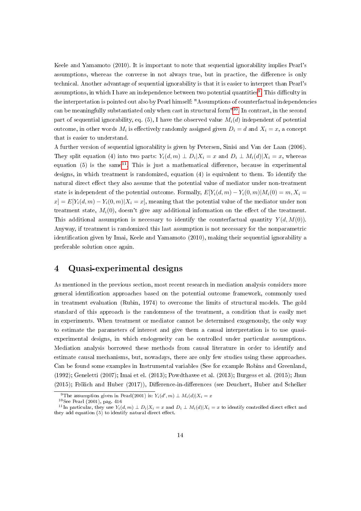Keele and Yamamoto (2010). It is important to note that sequential ignorability implies Pearl's assumptions, whereas the converse in not always true, but in practice, the difference is only technical. Another advantage of sequential ignorability is that it is easier to interpret than Pearl's assumptions, in which I have an independence between two potential quantities<sup>[9](#page-14-0)</sup>. This difficulty in the interpretation is pointed out also by Pearl himself: "Assumptions of counterfactual independencies can be meaningfully substantiated only when cast in structural form"[10](#page-14-1). In contrast, in the second part of sequential ignorability, eq. (5), I have the observed value  $M_i(d)$  independent of potential outcome, in other words  $M_i$  is effectively randomly assigned given  $D_i = d$  and  $X_i = x$ , a concept that is easier to understand.

A further version of sequential ignorability is given by Petersen, Sinisi and Van der Laan (2006). They split equation (4) into two parts:  $Y_i(d,m) \perp D_i | X_i = x$  and  $D_i \perp M_i(d) | X_i = x$ , whereas equation (5) is the same<sup>[11](#page-14-2)</sup>. This is just a mathematical difference, because in experimental designs, in which treatment is randomized, equation (4) is equivalent to them. To identify the natural direct effect they also assume that the potential value of mediator under non-treatment state is independent of the potential outcome. Formally,  $E[Y_i(d, m) - Y_i(0, m)|M_i(0) = m, X_i =$  $x] = E[Y_i(d, m) - Y_i(0, m) | X_i = x]$ , meaning that the potential value of the mediator under non treatment state,  $M_i(0)$ , doesn't give any additional information on the effect of the treatment. This additional assumption is necessary to identify the counterfactual quantity  $Y(d, M(0))$ . Anyway, if treatment is randomized this last assumption is not necessary for the nonparametric identification given by Imai, Keele and Yamamoto (2010), making their sequential ignorability a preferable solution once again.

#### 4 Quasi-experimental designs

As mentioned in the previous section, most recent research in mediation analysis considers more general identication approaches based on the potential outcome framework, commonly used in treatment evaluation (Rubin, 1974) to overcome the limits of structural models. The gold standard of this approach is the randomness of the treatment, a condition that is easily met in experiments. When treatment or mediator cannot be determined exogenously, the only way to estimate the parameters of interest and give them a causal interpretation is to use quasiexperimental designs, in which endogeneity can be controlled under particular assumptions. Mediation analysis borrowed these methods from causal literature in order to identify and estimate causal mechanisms, but, nowadays, there are only few studies using these approaches. Can be found some examples in Instrumental variables (See for example Robins and Greenland, (1992); Geneletti (2007); Imai et el. (2013); Powdthavee et al. (2013); Burgess et al. (2015); Jhun (2015); Frölich and Huber (2017)), Difference-in-differences (see Deuchert, Huber and Schelker

<span id="page-14-0"></span><sup>&</sup>lt;sup>9</sup>The assumption given in Pearl(2001) is:  $Y_i(d',m) \perp M_i(d)|X_i = x$ 

<span id="page-14-2"></span><span id="page-14-1"></span><sup>10</sup>See Pearl (2001), pag. 416

<sup>&</sup>lt;sup>11</sup>In particular, they use  $Y_i(d, m) \perp D_i|X_i = x$  and  $D_i \perp M_i(d)|X_i = x$  to identify controlled direct effect and they add equation (5) to identify natural direct effect.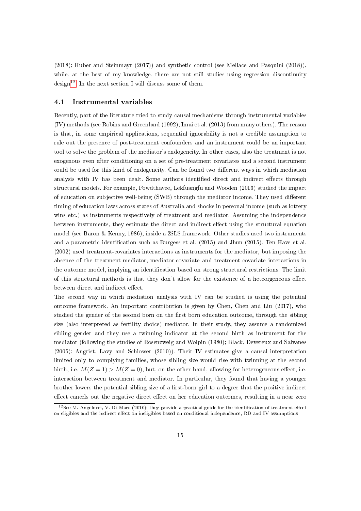(2018); Huber and Steinmayr (2017)) and synthetic control (see Mellace and Pasquini (2018)), while, at the best of my knowledge, there are not still studies using regression discontinuity design<sup>[12](#page-15-0)</sup>. In the next section I will discuss some of them.

#### 4.1 Instrumental variables

Recently, part of the literature tried to study causal mechanisms through instrumental variables (IV) methods (see Robins and Greenland (1992); Imai et al. (2013) from many others). The reason is that, in some empirical applications, sequential ignorability is not a credible assumption to rule out the presence of post-treatment confounders and an instrument could be an important tool to solve the problem of the mediator's endogeneity. In other cases, also the treatment is not exogenous even after conditioning on a set of pre-treatment covariates and a second instrument could be used for this kind of endogeneity. Can be found two different ways in which mediation analysis with IV has been dealt. Some authors identified direct and indirect effects through structural models. For example, Powdthavee, Lekfuangfu and Wooden (2013) studied the impact of education on subjective well-being (SWB) through the mediator income. They used different timing of education laws across states of Australia and shocks in personal income (such as lottery wins etc.) as instruments respectively of treatment and mediator. Assuming the independence between instruments, they estimate the direct and indirect effect using the structural equation model (see Baron & Kenny, 1986), inside a 2SLS framework. Other studies used two instruments and a parametric identification such as Burgess et al. (2015) and Jhun (2015). Ten Have et al. (2002) used treatment-covariates interactions as instruments for the mediator, but imposing the absence of the treatment-mediator, mediator-covariate and treatment-covariate interactions in the outcome model, implying an identification based on strong structural restrictions. The limit of this structural methods is that they don't allow for the existence of a heteorgeneous effect between direct and indirect effect.

The second way in which mediation analysis with IV can be studied is using the potential outcome framework. An important contribution is given by Chen, Chen and Liu (2017), who studied the gender of the second born on the first born education outcome, through the sibling size (also interpreted as fertility choice) mediator. In their study, they assume a randomized sibling gender and they use a twinning indicator at the second birth as instrument for the mediator (following the studies of Rosenzweig and Wolpin (1980); Black, Devereux and Salvanes (2005); Angrist, Lavy and Schlosser (2010)). Their IV estimates give a causal interpretation limited only to complying families, whose sibling size would rise with twinning at the second birth, i.e.  $M(Z = 1) > M(Z = 0)$ , but, on the other hand, allowing for heterogeneous effect, i.e. interaction between treatment and mediator. In particular, they found that having a younger brother lowers the potential sibling size of a first-born girl to a degree that the positive indirect effect cancels out the negative direct effect on her education outcomes, resulting in a near zero

<span id="page-15-0"></span> $12$ See M. Angelucci, V. Di Maro (2010): they provide a practical guide for the identification of treatment effect on eligibles and the indirect effect on ineligibles based on conditional independence, RD and IV assumptions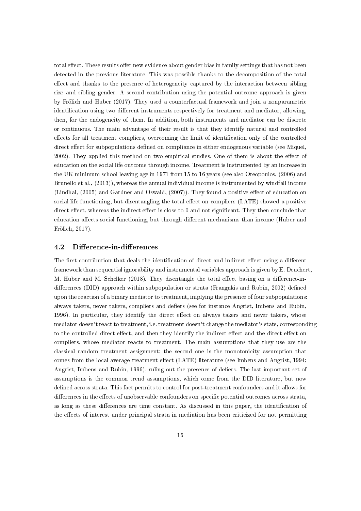total effect. These results offer new evidence about gender bias in family settings that has not been detected in the previous literature. This was possible thanks to the decomposition of the total effect and thanks to the presence of heterogeneity captured by the interaction between sibling size and sibling gender. A second contribution using the potential outcome approach is given by Frölich and Huber (2017). They used a counterfactual framework and join a nonparametric identification using two different instruments respectively for treatment and mediator, allowing, then, for the endogeneity of them. In addition, both instruments and mediator can be discrete or continuous. The main advantage of their result is that they identify natural and controlled effects for all treatment compliers, overcoming the limit of identification only of the controlled direct effect for subpopulations defined on compliance in either endogenous variable (see Miquel, 2002). They applied this method on two empirical studies. One of them is about the effect of education on the social life outcome through income. Treatment is instrumented by an increase in the UK minimum school leaving age in 1971 from 15 to 16 years (see also Oreopoulos, (2006) and Brunello et al., (2013)), whereas the annual individual income is instrumented by windfall income (Lindhal,  $(2005)$  and Gardner and Oswald,  $(2007)$ ). They found a positive effect of education on social life functioning, but disentangling the total effect on compliers (LATE) showed a positive direct effect, whereas the indirect effect is close to 0 and not significant. They then conclude that education affects social functioning, but through different mechanisms than income (Huber and Frölich, 2017).

#### 4.2 Difference-in-differences

The first contribution that deals the identification of direct and indirect effect using a different framework than sequential ignorability and instrumental variables approach is given by E. Deuchert, M. Huber and M. Schelker (2018). They disentangle the total effect basing on a difference-indifferences (DID) approach within subpopulation or strata (Frangakis and Rubin, 2002) defined upon the reaction of a binary mediator to treatment, implying the presence of four subpopulations: always takers, never takers, compliers and defiers (see for instance Angrist, Imbens and Rubin, 1996). In particular, they identify the direct effect on always takers and never takers, whose mediator doesn't react to treatment, i.e. treatment doesn't change the mediator's state, corresponding to the controlled direct effect, and then they identify the indirect effect and the direct effect on compliers, whose mediator reacts to treatment. The main assumptions that they use are the classical random treatment assignment; the second one is the monotonicity assumption that comes from the local average treatment effect (LATE) literature (see Imbens and Angrist, 1994; Angrist, Imbens and Rubin, 1996), ruling out the presence of defiers. The last important set of assumptions is the common trend assumptions, which come from the DID literature, but now defined across strata. This fact permits to control for post-treatment confounders and it allows for differences in the effects of unobservable confounders on specific potential outcomes across strata, as long as these differences are time constant. As discussed in this paper, the identification of the effects of interest under principal strata in mediation has been criticized for not permitting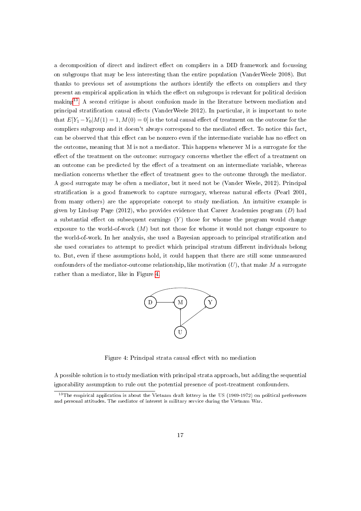a decomposition of direct and indirect effect on compliers in a DID framework and focussing on subgroups that may be less interesting than the entire population (VanderWeele 2008). But thanks to previous set of assumptions the authors identify the effects on compliers and they present an empirical application in which the effect on subgroups is relevant for political decision making<sup>[13](#page-17-0)</sup>. A second critique is about confusion made in the literature between mediation and principal stratification causal effects (VanderWeele 2012). In particular, it is important to note that  $E[Y_1 - Y_0|M(1)] = 1, M(0) = 0$  is the total causal effect of treatment on the outcome for the compliers subgroup and it doesn't always correspond to the mediated effect. To notice this fact, can be observed that this effect can be nonzero even if the intermediate variable has no effect on the outcome, meaning that M is not a mediator. This happens whenever M is a surrogate for the effect of the treatment on the outcome: surrogacy concerns whether the effect of a treatment on an outcome can be predicted by the effect of a treatment on an intermediate variable, whereas mediation concerns whether the effect of treatment goes to the outcome through the mediator. A good surrogate may be often a mediator, but it need not be (Vander Weele, 2012). Principal stratification is a good framework to capture surrogacy, whereas natural effects (Pearl  $2001$ , from many others) are the appropriate concept to study mediation. An intuitive example is given by Lindsay Page (2012), who provides evidence that Career Academies program  $(D)$  had a substantial effect on subsequent earnings  $(Y)$  those for whome the program would change exposure to the world-of-work  $(M)$  but not those for whome it would not change exposure to the world-of-work. In her analysis, she used a Bayesian approach to principal stratification and she used covariates to attempt to predict which principal stratum different individuals belong to. But, even if these assumptions hold, it could happen that there are still some unmeasured confounders of the mediator-outcome relationship, like motivation  $(U)$ , that make M a surrogate rather than a mediator, like in Figure [4.](#page-17-1)



<span id="page-17-1"></span>Figure 4: Principal strata causal effect with no mediation

A possible solution is to study mediation with principal strata approach, but adding the sequential ignorability assumption to rule out the potential presence of post-treatment confounders.

<span id="page-17-0"></span><sup>&</sup>lt;sup>13</sup>The empirical application is about the Vietnam draft lottery in the US (1969-1972) on political preferences and personal attitudes. The mediator of interest is military service during the Vietnam War.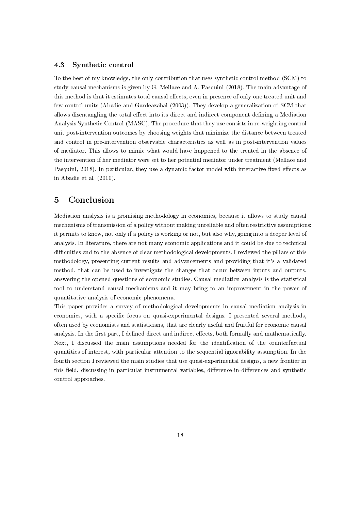#### 4.3 Synthetic control

To the best of my knowledge, the only contribution that uses synthetic control method (SCM) to study causal mechanisms is given by G. Mellace and A. Pasquini (2018). The main advantage of this method is that it estimates total causal effects, even in presence of only one treated unit and few control units (Abadie and Gardeazabal (2003)). They develop a generalization of SCM that allows disentangling the total effect into its direct and indirect component defining a Mediation Analysis Synthetic Control (MASC). The procedure that they use consists in re-weighting control unit post-intervention outcomes by choosing weights that minimize the distance between treated and control in pre-intervention observable characteristics as well as in post-intervention values of mediator. This allows to mimic what would have happened to the treated in the absence of the intervention if her mediator were set to her potential mediator under treatment (Mellace and Pasquini, 2018). In particular, they use a dynamic factor model with interactive fixed effects as in Abadie et al. (2010).

#### 5 Conclusion

Mediation analysis is a promising methodology in economics, because it allows to study causal mechanisms of transmission of a policy without making unreliable and often restrictive assumptions: it permits to know, not only if a policy is working or not, but also why, going into a deeper level of analysis. In literature, there are not many economic applications and it could be due to technical difficulties and to the absence of clear methodological developments. I reviewed the pillars of this methodology, presenting current results and advancements and providing that it's a validated method, that can be used to investigate the changes that occur between inputs and outputs, answering the opened questions of economic studies. Causal mediation analysis is the statistical tool to understand causal mechanisms and it may bring to an improvement in the power of quantitative analysis of economic phenomena.

This paper provides a survey of methodological developments in causal mediation analysis in economics, with a specific focus on quasi-experimental designs. I presented several methods, often used by economists and statisticians, that are clearly useful and fruitful for economic causal analysis. In the first part, I defined direct and indirect effects, both formally and mathematically. Next, I discussed the main assumptions needed for the identification of the counterfactual quantities of interest, with particular attention to the sequential ignorability assumption. In the fourth section I reviewed the main studies that use quasi-experimental designs, a new frontier in this field, discussing in particular instrumental variables, difference-in-differences and synthetic control approaches.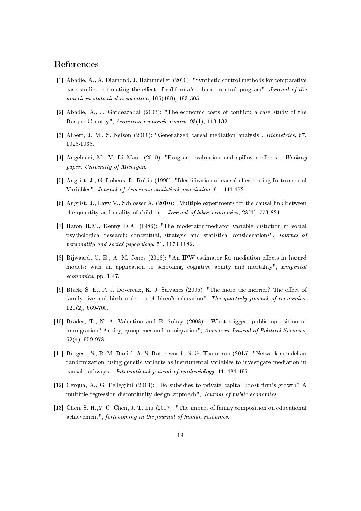#### References

- [1] Abadie, A., A. Diamond, J. Hainmueller (2010): "Synthetic control methods for comparative case studies: estimating the effect of california's tobacco control program", Journal of the american statistical association, 105(490), 493-505.
- [2] Abadie, A., J. Gardeazabal (2003): "The economic costs of conict: a case study of the Basque Country", American economic review, 93(1), 113-132.
- [3] Albert, J. M., S. Nelson (2011): "Generalized causal mediation analysis", Biometrics, 67, 1028-1038.
- [4] Angelucci, M., V. Di Maro (2010): "Program evaluation and spillover effects", Working paper, University of Michigan.
- [5] Angrist, J., G. Imbens, D. Rubin (1996): "Identification of causal effects using Instrumental Variables", Journal of American statistical association, 91, 444-472.
- [6] Angrist, J., Lavy V., Schlosser A. (2010): "Multiple experiments for the causal link between the quantity and quality of children", Journal of labor economics, 28(4), 773-824.
- [7] Baron R.M., Kenny D.A. (1986): "The moderator-mediator variable distiction in social psychological research: conceptual, strategic and statistical considerations", Journal of personality and social psychology, 51, 1173-1182.
- [8] Bijwaard, G. E., A. M. Jones (2018): "An IPW estimator for mediation effects in hazard models: with an application to schooling, cognitive ability and mortality", Empirical economics, pp. 1-47.
- [9] Black, S. E., P. J. Devereux, K. J. Salvanes (2005): "The more the merrier? The effect of family size and birth order on children's education", The quarterly journal of economics, 120(2), 669-700.
- [10] Brader, T., N. A. Valentino and E. Suhay (2008): "What triggers public opposition to immigration? Anxiey, group cues and immigration", American Journal of Political Sciences, 52(4), 959-978.
- [11] Burgess, S., R. M. Daniel, A. S. Butterworth, S. G. Thompson (2015): "Network mendelian randomization: using genetic variants as instrumental variables to investigate mediation in causal pathways", International journal of epidemiology, 44, 484-495.
- [12] Cerqua, A., G. Pellegrini (2013): "Do subsidies to private capital boost firm's growth? A multiple regression discontinuity design approach", Journal of public economics.
- [13] Chen, S. H.,Y. C. Chen, J. T. Liu (2017): "The impact of family composition on educational achievement", forthcoming in the journal of human resources.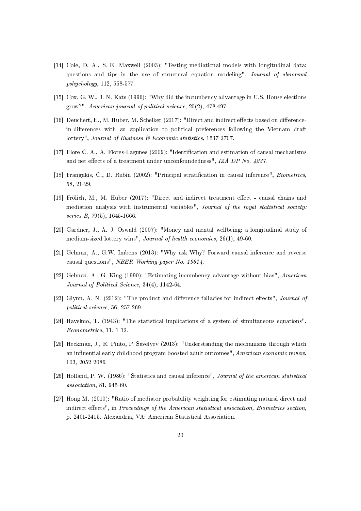- [14] Cole, D. A., S. E. Maxwell (2003): "Testing mediational models with longitudinal data: questions and tips in the use of structural equation modeling", Journal of abnormal pshychology, 112, 558-577.
- [15] Cox, G. W., J. N. Kats (1996): "Why did the incumbency advantage in U.S. House elections grow?", American journal of political science, 20(2), 478-497.
- [16] Deuchert, E., M. Huber, M. Schelker (2017): "Direct and indirect effects based on differencein-differences with an application to political preferences following the Vietnam draft lottery", Journal of Business & Economic statistics, 1537-2707.
- [17] Flore C. A., A. Flores-Lagunes (2009): "Identification and estimation of causal mechanisms and net effects of a treatment under unconfoundedness", IZA DP No.  $4237$ .
- [18] Frangakis, C., D. Rubin (2002): "Principal stratication in causal inference", Biometrics, 58, 21-29.
- [19] Frölich, M., M. Huber (2017): "Direct and indirect treatment effect causal chains and mediation analysis with instrumental variables", Journal of the royal statistical society: series B, 79(5), 1645-1666.
- [20] Gardner, J., A. J. Oswald (2007): "Money and mental wellbeing: a longitudinal study of medium-sized lottery wins", Journal of health economics, 26(1), 49-60.
- [21] Gelman, A., G.W. Imbens (2013): "Why ask Why? Forward causal inference and reverse causal questions", NBER Working paper No. 19614.
- [22] Gelman, A., G. King (1990): "Estimating incumbency advantage without bias", American Journal of Political Science, 34(4), 1142-64.
- [23] Glynn, A. N. (2012): "The product and difference fallacies for indirect effects", *Journal of* political science, 56, 257-269.
- [24] Havelmo, T. (1943): "The statistical implications of a system of simultaneous equations", Econometrica, 11, 1-12.
- [25] Heckman, J., R. Pinto, P. Savelyev (2013): "Understanding the mechanisms through which an influential early childhood program boosted adult outcomes", American economic review, 103, 2052-2086.
- [26] Holland, P. W. (1986): "Statistics and causal inference", Journal of the american statistical association, 81, 945-60.
- [27] Hong M. (2010): "Ratio of mediator probability weighting for estimating natural direct and indirect effects", in Proceedings of the American statistical association, Biometrics section, p. 2401-2415. Alexandria, VA: American Statistical Association.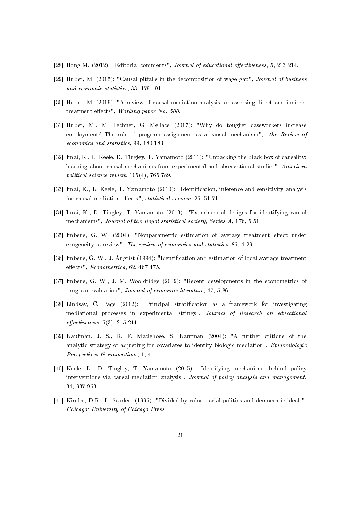- [28] Hong M.  $(2012)$ : "Editorial comments", *Journal of educational effectiveness*, 5, 213-214.
- [29] Huber, M. (2015): "Causal pitfalls in the decomposition of wage gap", Journal of business and economic statistics, 33, 179-191.
- [30] Huber, M. (2019): "A review of causal mediation analysis for assessing direct and indirect treatment effects", Working paper No. 500.
- [31] Huber, M., M. Lechner, G. Mellace (2017): "Why do tougher caseworkers increase employment? The role of program assignment as a causal mechanism", the Review of economics and statistics, 99, 180-183.
- [32] Imai, K., L. Keele, D. Tingley, T. Yamamoto (2011): "Unpacking the black box of causality: learning about causal mechanisms from experimental and observational studies", American political science review, 105(4), 765-789.
- [33] Imai, K., L. Keele, T. Yamamoto (2010): "Identification, inference and sensitivity analysis for causal mediation effects", statistical science,  $25, 51-71$ .
- [34] Imai, K., D. Tingley, T. Yamamoto (2013): "Experimental designs for identifying causal mechanisms", Journal of the Royal statistical society, Series A, 176, 5-51.
- [35] Imbens, G. W. (2004): "Nonparametric estimation of average treatment effect under exogeneity: a review", The review of economics and statistics, 86, 4-29.
- [36] Imbens, G. W., J. Angrist (1994): "Identification and estimation of local average treatment  $effects$ ",  $Econometrica$ , 62, 467-475.
- [37] Imbens, G. W., J. M. Wooldridge (2009): "Recent developments in the econometrics of program evaluation", Journal of economic literature, 47, 5-86.
- [38] Lindsay, C. Page (2012): "Principal stratification as a framework for investigating mediational processes in experimental sttings", Journal of Research on educational  $effectiveness, 5(3), 215-244.$
- [39] Kaufman, J. S., R. F. Maclehose, S. Kaufman (2004): "A further critique of the analytic strategy of adjusting for covariates to identify biologic mediation", Epidemiologic Perspectives & innovations, 1, 4.
- [40] Keele, L., D. Tingley, T. Yamamoto (2015): "Identifying mechanisms behind policy interventions via causal mediation analysis", Journal of policy analysis and management, 34, 937-963.
- [41] Kinder, D.R., L. Sanders (1996): "Divided by color: racial politics and democratic ideals", Chicago: University of Chicago Press.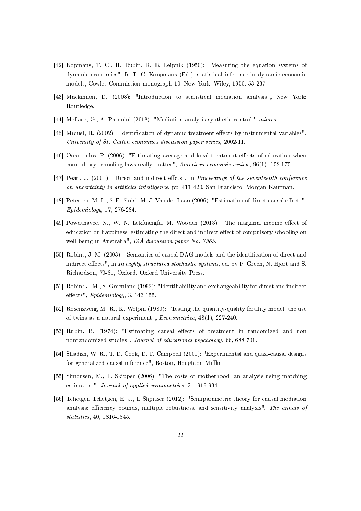- [42] Kopmans, T. C., H. Rubin, R. B. Leipnik (1950): "Measuring the equation systems of dynamic economics". In T. C. Koopmans (Ed.), statistical inference in dynamic economic models, Cowles Commission monograph 10. New York: Wiley, 1950. 53-237.
- [43] Mackinnon, D. (2008): "Introduction to statistical mediation analysis", New York: Routledge.
- [44] Mellace, G., A. Pasquini (2018): "Mediation analysis synthetic control", mimeo.
- [45] Miquel, R. (2002): "Identification of dynamic treatment effects by instrumental variables", University of St. Gallen economics discussion paper series, 2002-11.
- [46] Oreopoulos, P. (2006): "Estimating average and local treatment effects of education when compulsory schooling laws really matter", American economic review, 96(1), 152-175.
- [47] Pearl, J. (2001): "Direct and indirect effets", in *Proceedings of the seventeenth conference* on uncertainty in artificial intelligence, pp. 411-420, San Francisco. Morgan Kaufman.
- [48] Petersen, M. L., S. E. Sinisi, M. J. Van der Laan (2006): "Estimation of direct causal effects", Epidemiology, 17, 276-284.
- [49] Powdthavee, N., W. N. Lekfuangfu, M. Wooden (2013): "The marginal income effect of education on happiness: estimating the direct and indirect effect of compulsory schooling on well-being in Australia", IZA discussion paper No. 7365.
- [50] Robins, J. M. (2003): "Semantics of causal DAG models and the identification of direct and indirect effects", in In highly structured stochastic systems, ed. by P. Green, N. Hjort and S. Richardson, 70-81, Oxford. Oxford University Press.
- [51] Robins J. M., S. Greenland (1992): "Identifiability and exchangeability for direct and indirect effects",  $Epidemiology$ , 3, 143-155.
- [52] Rosenzweig, M. R., K. Wolpin (1980): "Testing the quantity-quality fertility model: the use of twins as a natural experiment", Econometrica, 48(1), 227-240.
- [53] Rubin, B. (1974): "Estimating causal effects of treatment in randomized and non nonrandomized studies", Journal of educational psychology, 66, 688-701.
- [54] Shadish, W. R., T. D. Cook, D. T. Campbell (2001): "Experimental and quasi-causal designs for generalized causal inference", Boston, Houghton Mifflin.
- [55] Simonsen, M., L. Skipper (2006): "The costs of motherhood: an analysis using matching estimators", Journal of applied econometrics, 21, 919-934.
- [56] Tchetgen Tchetgen, E. J., I. Shpitser (2012): "Semiparametric theory for causal mediation analysis: efficiency bounds, multiple robustness, and sensitivity analysis", The annals of statistics, 40, 1816-1845.